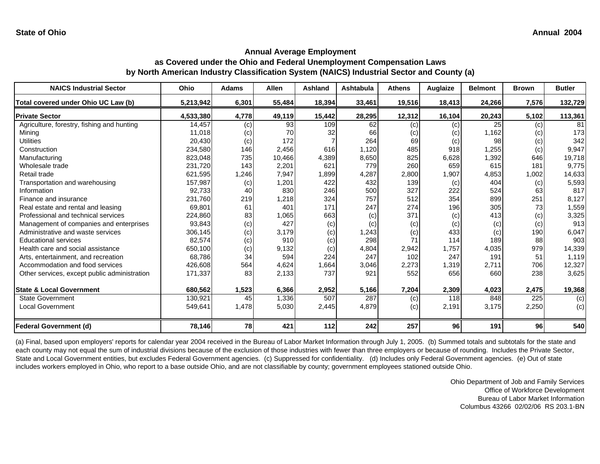**as Covered under the Ohio and Federal Unemployment Compensation Laws by North American Industry Classification System (NAICS) Industrial Sector and County (a)**

| <b>NAICS Industrial Sector</b>               | Ohio      | Adams | Allen  | Ashland | Ashtabula | <b>Athens</b> | Auglaize | <b>Belmont</b> | <b>Brown</b> | <b>Butler</b> |
|----------------------------------------------|-----------|-------|--------|---------|-----------|---------------|----------|----------------|--------------|---------------|
| Total covered under Ohio UC Law (b)          | 5,213,942 | 6,301 | 55,484 | 18,394  | 33,461    | 19,516        | 18,413   | 24,266         | 7,576        | 132,729       |
| <b>Private Sector</b>                        | 4,533,380 | 4,778 | 49,119 | 15,442  | 28,295    | 12,312        | 16,104   | 20,243         | 5,102        | 113,361       |
| Agriculture, forestry, fishing and hunting   | 14,457    | (c)   | 93     | 109     | 62        | (c)           | (c)      | 25             | (c)          | 81            |
| Mining                                       | 11,018    | (c)   | 70     | 32      | 66        | (c)           | (c)      | 1,162          | (c)          | 173           |
| <b>Utilities</b>                             | 20,430    | (c)   | 172    |         | 264       | 69            | (c)      | 98             | (c)          | 342           |
| Construction                                 | 234,580   | 146   | 2,456  | 616     | 1,120     | 485           | 918      | 1,255          | (c)          | 9,947         |
| Manufacturing                                | 823,048   | 735   | 10,466 | 4,389   | 8,650     | 825           | 6,628    | 1,392          | 646          | 19,718        |
| Wholesale trade                              | 231,720   | 143   | 2,201  | 621     | 779       | 260           | 659      | 615            | 181          | 9,775         |
| Retail trade                                 | 621,595   | 1,246 | 7,947  | 1,899   | 4,287     | 2,800         | 1,907    | 4,853          | 1,002        | 14,633        |
| Transportation and warehousing               | 157,987   | (c)   | 1,201  | 422     | 432       | 139           | (c)      | 404            | (c)          | 5,593         |
| Information                                  | 92.733    | 40    | 830    | 246     | 500       | 327           | 222      | 524            | 63           | 817           |
| Finance and insurance                        | 231,760   | 219   | 1,218  | 324     | 757       | 512           | 354      | 899            | 251          | 8,127         |
| Real estate and rental and leasing           | 69,801    | 61    | 401    | 171     | 247       | 274           | 196      | 305            | 73           | 1,559         |
| Professional and technical services          | 224,860   | 83    | 1,065  | 663     | (c)       | 371           | (c)      | 413            | (c)          | 3,325         |
| Management of companies and enterprises      | 93,843    | (c)   | 427    | (c)     | (c)       | (c)           | (c)      | (c)            | (c)          | 913           |
| Administrative and waste services            | 306,145   | (c)   | 3,179  | (c)     | 1,243     | (c)           | 433      | (c)            | 190          | 6,047         |
| <b>Educational services</b>                  | 82,574    | (c)   | 910    | (c)     | 298       | 71            | 114      | 189            | 88           | 903           |
| Health care and social assistance            | 650,100   | (c)   | 9,132  | (c)     | 4,804     | 2,942         | 1,757    | 4,035          | 979          | 14,339        |
| Arts, entertainment, and recreation          | 68.786    | 34    | 594    | 224     | 247       | 102           | 247      | 191            | 51           | 1,119         |
| Accommodation and food services              | 426,608   | 564   | 4,624  | 1,664   | 3,046     | 2,273         | 1,319    | 2,711          | 706          | 12,327        |
| Other services, except public administration | 171,337   | 83    | 2,133  | 737     | 921       | 552           | 656      | 660            | 238          | 3,625         |
| <b>State &amp; Local Government</b>          | 680.562   | 1,523 | 6,366  | 2,952   | 5,166     | 7,204         | 2,309    | 4,023          | 2,475        | 19,368        |
| <b>State Government</b>                      | 130,921   | 45    | 1,336  | 507     | 287       | (c)           | 118      | 848            | 225          | (c)           |
| <b>Local Government</b>                      | 549,641   | 1,478 | 5,030  | 2,445   | 4,879     | (c)           | 2,191    | 3,175          | 2,250        | (c)           |
| <b>Federal Government (d)</b>                | 78,146    | 78    | 421    | 112     | 242       | 257           | 96       | 191            | 96           | 540           |

(a) Final, based upon employers' reports for calendar year 2004 received in the Bureau of Labor Market Information through July 1, 2005. (b) Summed totals and subtotals for the state and each county may not equal the sum of industrial divisions because of the exclusion of those industries with fewer than three employers or because of rounding. Includes the Private Sector, State and Local Government entities, but excludes Federal Government agencies. (c) Suppressed for confidentiality. (d) Includes only Federal Government agencies. (e) Out of state includes workers employed in Ohio, who report to a base outside Ohio, and are not classifiable by county; government employees stationed outside Ohio.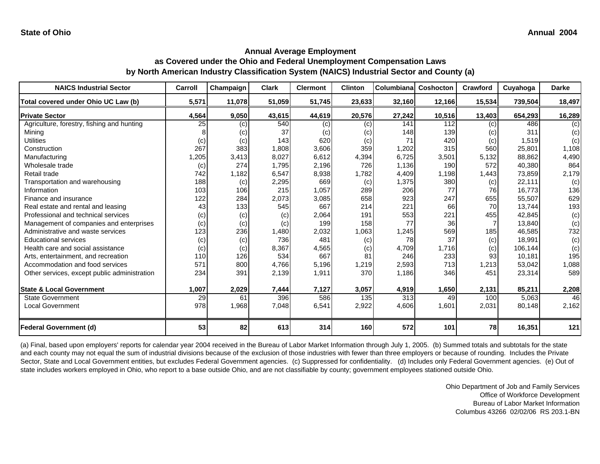**as Covered under the Ohio and Federal Unemployment Compensation Laws by North American Industry Classification System (NAICS) Industrial Sector and County (a)**

| <b>NAICS Industrial Sector</b>               | Carroll | Champaign | <b>Clark</b> | <b>Clermont</b> | <b>Clinton</b> | Columbiana | Coshocton | <b>Crawford</b> | Cuyahoga | <b>Darke</b> |
|----------------------------------------------|---------|-----------|--------------|-----------------|----------------|------------|-----------|-----------------|----------|--------------|
| Total covered under Ohio UC Law (b)          | 5,571   | 11,078    | 51,059       | 51,745          | 23,633         | 32,160     | 12,166    | 15,534          | 739,504  | 18,497       |
| <b>Private Sector</b>                        | 4,564   | 9,050     | 43,615       | 44,619          | 20,576         | 27,242     | 10,516    | 13,403          | 654,293  | 16,289       |
| Agriculture, forestry, fishing and hunting   | 25      | (c)       | 540          | (c)             | (c)            | 141        | 112       | (c)             | 486      | (c)          |
| Minina                                       |         | (c)       | 37           | (c)             | (c)            | 148        | 139       | (c)             | 311      | (c)          |
| <b>Utilities</b>                             | (c)     | (c)       | 143          | 620             | (c)            | 71         | 420       | (c)             | 1,519    | (c)          |
| Construction                                 | 267     | 383       | 1,808        | 3,606           | 359            | 1,202      | 315       | 560             | 25,801   | 1,108        |
| Manufacturing                                | 1,205   | 3,413     | 8,027        | 6,612           | 4,394          | 6,725      | 3,501     | 5,132           | 88,862   | 4,490        |
| Wholesale trade                              | (c)     | 274       | 1,795        | 2,196           | 726            | 1,136      | 190       | 572             | 40,380   | 864          |
| Retail trade                                 | 742     | 1,182     | 6,547        | 8,938           | 1,782          | 4,409      | 1,198     | 1,443           | 73,859   | 2,179        |
| Transportation and warehousing               | 188     | (c)       | 2,295        | 669             | (c)            | 1,375      | 380       | (c)             | 22,111   | (c)          |
| Information                                  | 103     | 106       | 215          | 1,057           | 289            | 206        | 77        | 76              | 16,773   | 136          |
| Finance and insurance                        | 122     | 284       | 2,073        | 3,085           | 658            | 923        | 247       | 655             | 55,507   | 629          |
| Real estate and rental and leasing           | 43      | 133       | 545          | 667             | 214            | 221        | 66        | 70              | 13,744   | 193          |
| Professional and technical services          | (c)     | (c)       | (c)          | 2,064           | 191            | 553        | 221       | 455             | 42,845   | (c)          |
| Management of companies and enterprises      | (c)     | (c)       | (c)          | 199             | 158            | 77         | 36        |                 | 13,840   | (c)          |
| Administrative and waste services            | 123     | 236       | 1,480        | 2,032           | 1,063          | 1,245      | 569       | 185             | 46,585   | 732          |
| <b>Educational services</b>                  | (c)     | (c)       | 736          | 481             | (c)            | 78         | 37        | (c)             | 18,991   | (c)          |
| Health care and social assistance            | (c)     | (c)       | 8,367        | 4,565           | (c)            | 4,709      | 1,716     | (c)             | 106,144  | (c)          |
| Arts, entertainment, and recreation          | 110     | 126       | 534          | 667             | 81             | 246        | 233       | 93 <sub>l</sub> | 10,181   | 195          |
| Accommodation and food services              | 571     | 800       | 4,766        | 5,196           | 1,219          | 2,593      | 713       | 1,213           | 53,042   | 1,088        |
| Other services, except public administration | 234     | 391       | 2,139        | 1,911           | 370            | 1,186      | 346       | 451             | 23,314   | 589          |
|                                              |         |           |              |                 |                |            |           |                 |          |              |
| <b>State &amp; Local Government</b>          | 1,007   | 2,029     | 7,444        | 7,127           | 3,057          | 4,919      | 1,650     | 2,131           | 85,211   | 2,208        |
| <b>State Government</b>                      | 29      | 61        | 396          | 586             | 135            | 313        | 49        | 100             | 5,063    | 46           |
| <b>Local Government</b>                      | 978     | 1,968     | 7,048        | 6,541           | 2,922          | 4,606      | 1,601     | 2,031           | 80,148   | 2,162        |
| <b>Federal Government (d)</b>                | 53      | 82        | 613          | 314             | 160            | 572        | 101       | 78              | 16,351   | 121          |

(a) Final, based upon employers' reports for calendar year 2004 received in the Bureau of Labor Market Information through July 1, 2005. (b) Summed totals and subtotals for the state and each county may not equal the sum of industrial divisions because of the exclusion of those industries with fewer than three employers or because of rounding. Includes the Private Sector, State and Local Government entities, but excludes Federal Government agencies. (c) Suppressed for confidentiality. (d) Includes only Federal Government agencies. (e) Out of state includes workers employed in Ohio, who report to a base outside Ohio, and are not classifiable by county; government employees stationed outside Ohio.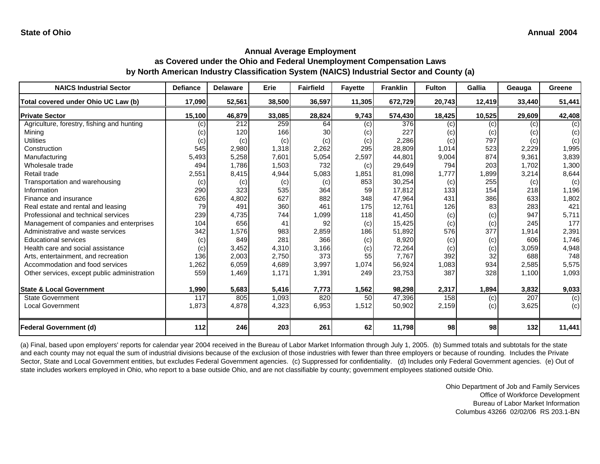**as Covered under the Ohio and Federal Unemployment Compensation Laws by North American Industry Classification System (NAICS) Industrial Sector and County (a)**

| <b>NAICS Industrial Sector</b>               | <b>Defiance</b> | <b>Delaware</b> | Erie   | <b>Fairfield</b> | <b>Fayette</b> | <b>Franklin</b> | <b>Fulton</b> | Gallia | Geauga | Greene |
|----------------------------------------------|-----------------|-----------------|--------|------------------|----------------|-----------------|---------------|--------|--------|--------|
| Total covered under Ohio UC Law (b)          | 17,090          | 52,561          | 38,500 | 36,597           | 11,305         | 672,729         | 20,743        | 12,419 | 33,440 | 51,441 |
| <b>Private Sector</b>                        | 15,100          | 46,879          | 33,085 | 28,824           | 9,743          | 574,430         | 18,425        | 10,525 | 29,609 | 42,408 |
| Agriculture, forestry, fishing and hunting   | (c)             | 212             | 259    | 64               | (c)            | 376             | (c)           | (c)    | (c)    | (c)    |
| Minina                                       | (c)             | 120             | 166    | 30               | (c)            | 227             | (c)           | (c)    | (c)    | (c)    |
| <b>Utilities</b>                             | (c)             | (c)             | (c)    | (c)              | (c)            | 2,286           | (c)           | 797    | (c)    | (c)    |
| Construction                                 | 545             | 2,980           | 1,318  | 2,262            | 295            | 28,809          | 1,014         | 523    | 2,229  | 1,995  |
| Manufacturing                                | 5,493           | 5,258           | 7,601  | 5,054            | 2,597          | 44,801          | 9,004         | 874    | 9,361  | 3,839  |
| Wholesale trade                              | 494             | 1,786           | 1,503  | 732              | (c)            | 29,649          | 794           | 203    | 1,702  | 1,300  |
| Retail trade                                 | 2,551           | 8,415           | 4,944  | 5,083            | 1,851          | 81,098          | 1,777         | 1,899  | 3,214  | 8,644  |
| Transportation and warehousing               | (c)             | (c)             | (c)    | (c)              | 853            | 30,254          | (c)           | 255    | (c)    | (c)    |
| Information                                  | 290             | 323             | 535    | 364              | 59             | 17,812          | 133           | 154    | 218    | 1,196  |
| Finance and insurance                        | 626             | 4,802           | 627    | 882              | 348            | 47,964          | 431           | 386    | 633    | 1,802  |
| Real estate and rental and leasing           | 79              | 491             | 360    | 461              | 175            | 12,761          | 126           | 83     | 283    | 421    |
| Professional and technical services          | 239             | 4,735           | 744    | 1,099            | 118            | 41,450          | (c)           | (c)    | 947    | 5,711  |
| Management of companies and enterprises      | 104             | 656             | 41     | 92               | (c)            | 15,425          | (c)           | (c)    | 245    | 177    |
| Administrative and waste services            | 342             | 1,576           | 983    | 2,859            | 186            | 51,892          | 576           | 377    | 1,914  | 2,391  |
| <b>Educational services</b>                  | (c)             | 849             | 281    | 366              | (c)            | 8,920           | (c)           | (c)    | 606    | 1,746  |
| Health care and social assistance            | (c)             | 3,452           | 4,310  | 3,166            | (c)            | 72,264          | (c)           | (c)    | 3,059  | 4,948  |
| Arts, entertainment, and recreation          | 136             | 2,003           | 2,750  | 373              | 55             | 7,767           | 392           | 32     | 688    | 748    |
| Accommodation and food services              | 1,262           | 6,059           | 4,689  | 3,997            | 1,074          | 56,924          | 1,083         | 934    | 2,585  | 5,575  |
| Other services, except public administration | 559             | 1,469           | 1,171  | 1,391            | 249            | 23,753          | 387           | 328    | 1,100  | 1,093  |
|                                              |                 |                 |        |                  |                |                 |               |        |        |        |
| <b>State &amp; Local Government</b>          | 1,990           | 5,683           | 5,416  | 7,773            | 1,562          | 98,298          | 2,317         | 1,894  | 3,832  | 9,033  |
| <b>State Government</b>                      | 117             | 805             | 1,093  | 820              | 50             | 47,396          | 158           | (c)    | 207    | (c)    |
| <b>Local Government</b>                      | 1,873           | 4,878           | 4,323  | 6,953            | 1,512          | 50,902          | 2,159         | (c)    | 3,625  | (c)    |
|                                              |                 |                 |        |                  |                |                 |               |        |        |        |
| <b>Federal Government (d)</b>                | 112             | 246             | 203    | 261              | 62             | 11,798          | 98            | 98     | 132    | 11,441 |

(a) Final, based upon employers' reports for calendar year 2004 received in the Bureau of Labor Market Information through July 1, 2005. (b) Summed totals and subtotals for the state and each county may not equal the sum of industrial divisions because of the exclusion of those industries with fewer than three employers or because of rounding. Includes the Private Sector, State and Local Government entities, but excludes Federal Government agencies. (c) Suppressed for confidentiality. (d) Includes only Federal Government agencies. (e) Out of state includes workers employed in Ohio, who report to a base outside Ohio, and are not classifiable by county; government employees stationed outside Ohio.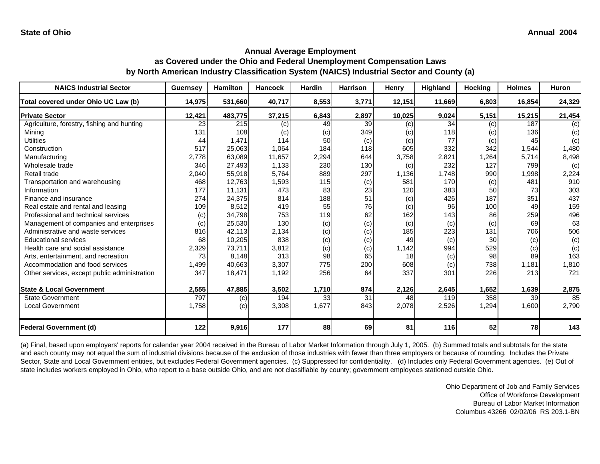**as Covered under the Ohio and Federal Unemployment Compensation Laws by North American Industry Classification System (NAICS) Industrial Sector and County (a)**

| <b>NAICS Industrial Sector</b>               | <b>Guernsey</b> | <b>Hamilton</b> | <b>Hancock</b> | <b>Hardin</b> | <b>Harrison</b> | Henry  | Highland | Hocking | <b>Holmes</b> | <b>Huron</b> |
|----------------------------------------------|-----------------|-----------------|----------------|---------------|-----------------|--------|----------|---------|---------------|--------------|
| Total covered under Ohio UC Law (b)          | 14,975          | 531,660         | 40,717         | 8,553         | 3,771           | 12,151 | 11,669   | 6,803   | 16,854        | 24,329       |
| <b>Private Sector</b>                        | 12,421          | 483,775         | 37,215         | 6,843         | 2,897           | 10,025 | 9,024    | 5,151   | 15,215        | 21,454       |
| Agriculture, forestry, fishing and hunting   | 23              | 215             | (c)            | 49            | 39              | (c)    | 34       | (c)     | 187           | (c)          |
| Mining                                       | 131             | 108             | (c)            | (c)           | 349             | (c)    | 118      | (c)     | 136           | (c)          |
| <b>Utilities</b>                             | 44              | 1,471           | 114            | 50            | (c)             | (c)    | 77       | (c)     | 45            | (c)          |
| Construction                                 | 517             | 25,063          | 1,064          | 184           | 118             | 605    | 332      | 342     | 1,544         | 1,480        |
| Manufacturing                                | 2,778           | 63,089          | 11,657         | 2,294         | 644             | 3,758  | 2,821    | 1,264   | 5,714         | 8,498        |
| Wholesale trade                              | 346             | 27,493          | 1,133          | 230           | 130             | (c)    | 232      | 127     | 799           | (c)          |
| Retail trade                                 | 2,040           | 55,918          | 5,764          | 889           | 297             | 1,136  | 1,748    | 990     | 1,998         | 2,224        |
| Transportation and warehousing               | 468             | 12,763          | 1,593          | 115           | (c)             | 581    | 170      | (c)     | 481           | 910          |
| Information                                  | 177             | 11,131          | 473            | 83            | 23              | 120    | 383      | 50      | 73            | 303          |
| Finance and insurance                        | 274             | 24,375          | 814            | 188           | 51              | (c)    | 426      | 187     | 351           | 437          |
| Real estate and rental and leasing           | 109             | 8,512           | 419            | 55            | 76              | (c)    | 96       | 100     | 49            | 159          |
| Professional and technical services          | (c)             | 34,798          | 753            | 119           | 62              | 162    | 143      | 86      | 259           | 496          |
| Management of companies and enterprises      | (c)             | 25,530          | 130            | (c)           | (c)             | (c)    | (c)      | (c)     | 69            | 63           |
| Administrative and waste services            | 816             | 42,113          | 2,134          | (c)           | (c)             | 185    | 223      | 131     | 706           | 506          |
| <b>Educational services</b>                  | 68              | 10,205          | 838            | (c)           | (c)             | 49     | (c)      | 30      | (c)           | (c)          |
| Health care and social assistance            | 2,329           | 73,711          | 3,812          | (c)           | (c)             | 1,142  | 994      | 529     | (c)           | (c)          |
| Arts, entertainment, and recreation          | 73              | 8,148           | 313            | 98            | 65              | 18     | (c)      | 98      | 89            | 163          |
| Accommodation and food services              | 1,499           | 40,663          | 3,307          | 775           | 200             | 608    | (c)      | 738     | 1,181         | 1,810        |
| Other services, except public administration | 347             | 18,471          | 1,192          | 256           | 64              | 337    | 301      | 226     | 213           | 721          |
|                                              |                 |                 |                |               |                 |        |          |         |               |              |
| <b>State &amp; Local Government</b>          | 2,555           | 47,885          | 3,502          | 1,710         | 874             | 2,126  | 2,645    | 1,652   | 1,639         | 2,875        |
| <b>State Government</b>                      | 797             | (c)             | 194            | 33            | 31              | 48     | 119      | 358     | 39            | 85           |
| <b>Local Government</b>                      | 1,758           | (c)             | 3,308          | 1,677         | 843             | 2,078  | 2,526    | 1,294   | 1,600         | 2,790        |
|                                              |                 |                 |                |               |                 |        |          |         |               |              |
| <b>Federal Government (d)</b>                | 122             | 9,916           | 177            | 88            | 69              | 81     | 116      | 52      | 78            | 143          |

(a) Final, based upon employers' reports for calendar year 2004 received in the Bureau of Labor Market Information through July 1, 2005. (b) Summed totals and subtotals for the state and each county may not equal the sum of industrial divisions because of the exclusion of those industries with fewer than three employers or because of rounding. Includes the Private Sector, State and Local Government entities, but excludes Federal Government agencies. (c) Suppressed for confidentiality. (d) Includes only Federal Government agencies. (e) Out of state includes workers employed in Ohio, who report to a base outside Ohio, and are not classifiable by county; government employees stationed outside Ohio.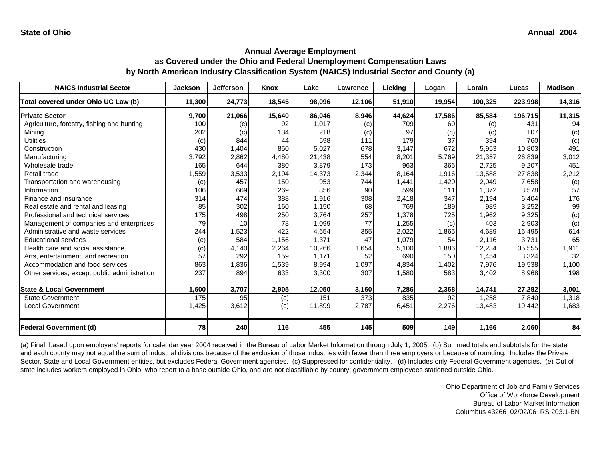#### **Annual Average Employment as Covered under the Ohio and Federal Unemployment Compensation Laws by North American Industry Classification System (NAICS) Industrial Sector and County (a)**

| <b>NAICS Industrial Sector</b>               | <b>Jackson</b> | <b>Jefferson</b> | Knox   | Lake   | <b>Lawrence</b> | Licking | Logan  | Lorain  | Lucas   | <b>Madison</b> |
|----------------------------------------------|----------------|------------------|--------|--------|-----------------|---------|--------|---------|---------|----------------|
| Total covered under Ohio UC Law (b)          | 11,300         | 24,773           | 18,545 | 98,096 | 12,106          | 51,910  | 19,954 | 100,325 | 223,998 | 14,316         |
| <b>Private Sector</b>                        | 9,700          | 21,066           | 15,640 | 86,046 | 8,946           | 44,624  | 17,586 | 85,584  | 196,715 | 11,315         |
| Agriculture, forestry, fishing and hunting   | 100            | (c)              | 92     | 1,017  | (c)             | 709     | 60     | (c)     | 431     | 94             |
| Mining                                       | 202            | (c)              | 134    | 218    | (c)             | 97      | (c)    | (c)     | 107     | (c)            |
| <b>Utilities</b>                             | (c)            | 844              | 44     | 598    | 111             | 179     | 37     | 394     | 760     | (c)            |
| Construction                                 | 430            | 1,404            | 850    | 5,027  | 678             | 3,147   | 672    | 5,953   | 10,803  | 491            |
| Manufacturing                                | 3,792          | 2,862            | 4,480  | 21,438 | 554             | 8,201   | 5,769  | 21,357  | 26,839  | 3,012          |
| Wholesale trade                              | 165            | 644              | 380    | 3,879  | 173             | 963     | 366    | 2,725   | 9,207   | 451            |
| Retail trade                                 | 1,559          | 3,533            | 2,194  | 14,373 | 2,344           | 8,164   | 1,916  | 13,588  | 27,838  | 2,212          |
| Transportation and warehousing               | (c)            | 457              | 150    | 953    | 744             | 1,441   | 1,420  | 2,049   | 7,658   | (c)            |
| Information                                  | 106            | 669              | 269    | 856    | 90              | 599     | 111    | 1,372   | 3,578   | 57             |
| Finance and insurance                        | 314            | 474              | 388    | 1,916  | 308             | 2,418   | 347    | 2,194   | 6,404   | 176            |
| Real estate and rental and leasing           | 85             | 302              | 160    | 1,150  | 68              | 769     | 189    | 989     | 3,252   | 99             |
| Professional and technical services          | 175            | 498              | 250    | 3,764  | 257             | 1,378   | 725    | 1,962   | 9,325   | (c)            |
| Management of companies and enterprises      | 79             | 10               | 78     | 1,099  | 77              | 1,255   | (c)    | 403     | 2,903   | (c)            |
| Administrative and waste services            | 244            | 1,523            | 422    | 4,654  | 355             | 2,022   | 1,865  | 4,689   | 16,495  | 614            |
| <b>Educational services</b>                  | (c)            | 584              | 1,156  | 1,371  | 47              | 1,079   | 54     | 2,116   | 3,731   | 65             |
| Health care and social assistance            | (c)            | 4,140            | 2,264  | 10,266 | 1,654           | 5,100   | 1,886  | 12,234  | 35,555  | 1,911          |
| Arts, entertainment, and recreation          | 57             | 292              | 159    | 1,171  | 52              | 690     | 150    | 1,454   | 3,324   | 32             |
| Accommodation and food services              | 863            | 1,836            | 1,539  | 8,994  | 1,097           | 4,834   | 1,402  | 7,976   | 19,538  | 1,100          |
| Other services, except public administration | 237            | 894              | 633    | 3,300  | 307             | 1,580   | 583    | 3,402   | 8,968   | 198            |
|                                              |                |                  |        |        |                 |         |        |         |         |                |
| <b>State &amp; Local Government</b>          | 1,600          | 3,707            | 2,905  | 12,050 | 3,160           | 7,286   | 2,368  | 14,741  | 27,282  | 3,001          |
| <b>State Government</b>                      | 175            | 95               | (c)    | 151    | 373             | 835     | 92     | 1,258   | 7.840   | 1,318          |
| <b>Local Government</b>                      | 1,425          | 3,612            | (c)    | 11,899 | 2,787           | 6,451   | 2,276  | 13,483  | 19,442  | 1,683          |
| <b>Federal Government (d)</b>                | 78             | 240              | 116    | 455    | 145             | 509     | 149    | 1,166   | 2,060   | 84             |

(a) Final, based upon employers' reports for calendar year 2004 received in the Bureau of Labor Market Information through July 1, 2005. (b) Summed totals and subtotals for the state and each county may not equal the sum of industrial divisions because of the exclusion of those industries with fewer than three employers or because of rounding. Includes the Private Sector, State and Local Government entities, but excludes Federal Government agencies. (c) Suppressed for confidentiality. (d) Includes only Federal Government agencies. (e) Out of state includes workers employed in Ohio, who report to a base outside Ohio, and are not classifiable by county; government employees stationed outside Ohio.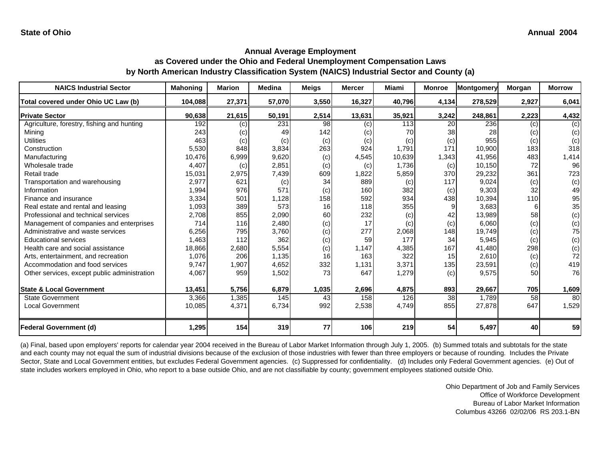**as Covered under the Ohio and Federal Unemployment Compensation Laws by North American Industry Classification System (NAICS) Industrial Sector and County (a)**

| <b>NAICS Industrial Sector</b>               | <b>Mahoning</b> | <b>Marion</b> | <b>Medina</b> | <b>Meigs</b> | <b>Mercer</b> | Miami  | <b>Monroe</b> | <b>Montgomery</b> | Morgan | <b>Morrow</b> |
|----------------------------------------------|-----------------|---------------|---------------|--------------|---------------|--------|---------------|-------------------|--------|---------------|
| Total covered under Ohio UC Law (b)          | 104,088         | 27,371        | 57,070        | 3,550        | 16,327        | 40,796 | 4,134         | 278,529           | 2,927  | 6,041         |
| <b>Private Sector</b>                        | 90,638          | 21,615        | 50,191        | 2,514        | 13,631        | 35,921 | 3,242         | 248,861           | 2,223  | 4,432         |
| Agriculture, forestry, fishing and hunting   | 192             | (c)           | 231           | 98           | (c)           | 113    | 20            | 236               | (c)    | (c)           |
| Mining                                       | 243             | (c)           | 49            | 142          | (c)           | 70     | 38            | 28                | (c)    | (c)           |
| <b>Utilities</b>                             | 463             | (c)           | (c)           | (c)          | (c)           | (c)    | (c)           | 955               | (c)    | (c)           |
| Construction                                 | 5,530           | 848           | 3,834         | 263          | 924           | 1,791  | 171           | 10,900            | 183    | 318           |
| Manufacturing                                | 10,476          | 6,999         | 9,620         | (c)          | 4,545         | 10,639 | 1,343         | 41,956            | 483    | 1,414         |
| Wholesale trade                              | 4,407           | (c)           | 2,851         | (c)          | (c)           | 1,736  | (c)           | 10,150            | 72     | 96            |
| Retail trade                                 | 15,031          | 2,975         | 7,439         | 609          | 1,822         | 5,859  | 370           | 29,232            | 361    | 723           |
| Transportation and warehousing               | 2,977           | 621           | (c)           | 34           | 889           | (c)    | 117           | 9,024             | (c)    | (c)           |
| Information                                  | 1,994           | 976           | 571           | (c)          | 160           | 382    | (c)           | 9,303             | 32     | 49            |
| Finance and insurance                        | 3,334           | 501           | 1,128         | 158          | 592           | 934    | 438           | 10,394            | 110    | 95            |
| Real estate and rental and leasing           | 1,093           | 389           | 573           | 16           | 118           | 355    |               | 3,683             | 6      | 35            |
| Professional and technical services          | 2,708           | 855           | 2,090         | 60           | 232           | (c)    | 42            | 13,989            | 58     | (c)           |
| Management of companies and enterprises      | 714             | 116           | 2,480         | (c)          | 17            | (c)    | (c)           | 6,060             | (c)    | (c)           |
| Administrative and waste services            | 6,256           | 795           | 3,760         | (c)          | 277           | 2,068  | 148           | 19,749            | (c)    | 75            |
| <b>Educational services</b>                  | 1,463           | 112           | 362           | (c)          | 59            | 177    | 34            | 5,945             | (c)    | (c)           |
| Health care and social assistance            | 18,866          | 2,680         | 5,554         | (c)          | 1,147         | 4,385  | 167           | 41,480            | 298    | (c)           |
| Arts, entertainment, and recreation          | 1.076           | 206           | 1,135         | 16           | 163           | 322    | 15            | 2,610             | (c)    | 72            |
| Accommodation and food services              | 9,747           | 1,907         | 4,652         | 332          | 1,131         | 3,371  | 135           | 23,591            | (c)    | 419           |
| Other services, except public administration | 4,067           | 959           | 1,502         | 73           | 647           | 1,279  | (c)           | 9,575             | 50     | 76            |
| <b>State &amp; Local Government</b>          | 13,451          | 5,756         | 6,879         | 1,035        | 2,696         | 4,875  | 893           | 29,667            | 705    | 1,609         |
| <b>State Government</b>                      | 3,366           | 1,385         | 145           | 43           | 158           | 126    | 38            | 1.789             | 58     | 80            |
| <b>Local Government</b>                      | 10,085          | 4,371         | 6,734         | 992          | 2,538         | 4,749  | 855           | 27,878            | 647    | 1,529         |
| <b>Federal Government (d)</b>                | 1,295           | 154           | 319           | 77           | 106           | 219    | 54            | 5,497             | 40     | 59            |

(a) Final, based upon employers' reports for calendar year 2004 received in the Bureau of Labor Market Information through July 1, 2005. (b) Summed totals and subtotals for the state and each county may not equal the sum of industrial divisions because of the exclusion of those industries with fewer than three employers or because of rounding. Includes the Private Sector, State and Local Government entities, but excludes Federal Government agencies. (c) Suppressed for confidentiality. (d) Includes only Federal Government agencies. (e) Out of state includes workers employed in Ohio, who report to a base outside Ohio, and are not classifiable by county; government employees stationed outside Ohio.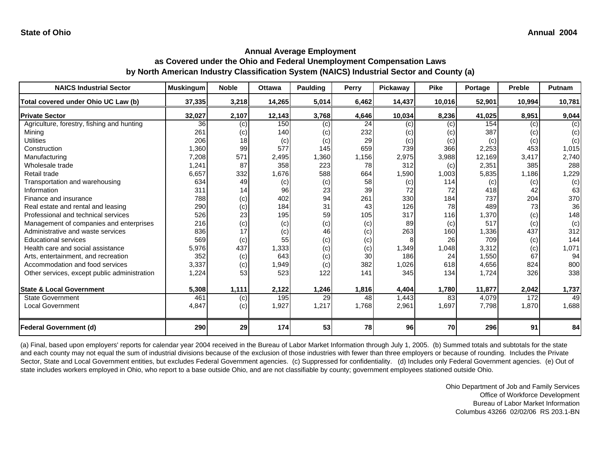#### **Annual Average Employment as Covered under the Ohio and Federal Unemployment Compensation Laws by North American Industry Classification System (NAICS) Industrial Sector and County (a)**

| <b>NAICS Industrial Sector</b>               | <b>Muskingum</b> | <b>Noble</b> | <b>Ottawa</b> | <b>Paulding</b> | Perry | Pickaway | <b>Pike</b> | Portage | <b>Preble</b> | Putnam |
|----------------------------------------------|------------------|--------------|---------------|-----------------|-------|----------|-------------|---------|---------------|--------|
| Total covered under Ohio UC Law (b)          | 37,335           | 3,218        | 14,265        | 5,014           | 6,462 | 14,437   | 10,016      | 52,901  | 10,994        | 10,781 |
| <b>Private Sector</b>                        | 32,027           | 2,107        | 12,143        | 3,768           | 4,646 | 10,034   | 8,236       | 41,025  | 8,951         | 9,044  |
| Agriculture, forestry, fishing and hunting   | 36               | (c)          | 150           | (c)             | 24    | (c)      | (c)         | 154     | (c)           | (c)    |
| Mining                                       | 261              | (c)          | 140           | (c)             | 232   | (c)      | (c)         | 387     | (c)           | (c)    |
| <b>Utilities</b>                             | 206              | 18           | (c)           | (c)             | 29    | (c)      | (c)         | (c)     | (c)           | (c)    |
| Construction                                 | 1,360            | 99           | 577           | 145             | 659   | 739      | 366         | 2,253   | 453           | 1,015  |
| Manufacturing                                | 7,208            | 571          | 2,495         | 1,360           | 1,156 | 2,975    | 3,988       | 12,169  | 3,417         | 2,740  |
| Wholesale trade                              | 1,241            | 87           | 358           | 223             | 78    | 312      | (c)         | 2,351   | 385           | 288    |
| Retail trade                                 | 6,657            | 332          | 1,676         | 588             | 664   | 1,590    | 1,003       | 5,835   | 1,186         | 1,229  |
| Transportation and warehousing               | 634              | 49           | (c)           | (c)             | 58    | (c)      | 114         | (c)     | (c)           | (c)    |
| Information                                  | 311              | 14           | 96            | 23              | 39    | 72       | 72          | 418     | 42            | 63     |
| Finance and insurance                        | 788              | (c)          | 402           | 94              | 261   | 330      | 184         | 737     | 204           | 370    |
| Real estate and rental and leasing           | 290              | (c)          | 184           | 31              | 43    | 126      | 78          | 489     | 73            | 36     |
| Professional and technical services          | 526              | 23           | 195           | 59              | 105   | 317      | 116         | 1,370   | (c)           | 148    |
| Management of companies and enterprises      | 216              | (c)          | (c)           | (c)             | (c)   | 89       | (c)         | 517     | (c)           | (c)    |
| Administrative and waste services            | 836              | 17           | (c)           | 46              | (c)   | 263      | 160         | 1,336   | 437           | 312    |
| <b>Educational services</b>                  | 569              | (c)          | 55            | (c)             | (c)   |          | 26          | 709     | (c)           | 144    |
| Health care and social assistance            | 5,976            | 437          | 1,333         | (c)             | (c)   | 1,349    | 1,048       | 3,312   | (c)           | 1,071  |
| Arts, entertainment, and recreation          | 352              | (c)          | 643           | (c)             | 30    | 186      | 24          | 1,550   | 67            | 94     |
| Accommodation and food services              | 3,337            | (c)          | 1,949         | (c)             | 382   | 1,026    | 618         | 4,656   | 824           | 800    |
| Other services, except public administration | 1,224            | 53           | 523           | 122             | 141   | 345      | 134         | 1,724   | 326           | 338    |
|                                              |                  |              |               |                 |       |          |             |         |               |        |
| <b>State &amp; Local Government</b>          | 5,308            | 1,111        | 2,122         | 1,246           | 1,816 | 4,404    | 1,780       | 11,877  | 2,042         | 1,737  |
| <b>State Government</b>                      | 461              | (c)          | 195           | 29              | 48    | 1,443    | 83          | 4,079   | 172           | 49     |
| <b>Local Government</b>                      | 4,847            | (c)          | 1,927         | 1,217           | 1,768 | 2,961    | 1,697       | 7,798   | 1,870         | 1,688  |
|                                              |                  |              |               |                 |       |          |             |         |               |        |
| <b>Federal Government (d)</b>                | 290              | 29           | 174           | 53              | 78    | 96       | 70          | 296     | 91            | 84     |

(a) Final, based upon employers' reports for calendar year 2004 received in the Bureau of Labor Market Information through July 1, 2005. (b) Summed totals and subtotals for the state and each county may not equal the sum of industrial divisions because of the exclusion of those industries with fewer than three employers or because of rounding. Includes the Private Sector, State and Local Government entities, but excludes Federal Government agencies. (c) Suppressed for confidentiality. (d) Includes only Federal Government agencies. (e) Out of state includes workers employed in Ohio, who report to a base outside Ohio, and are not classifiable by county; government employees stationed outside Ohio.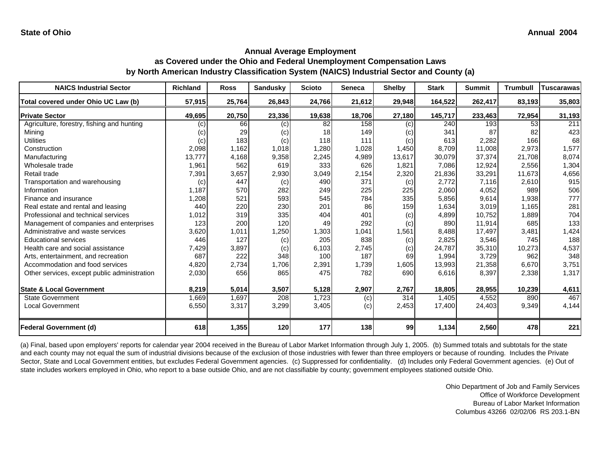### **Annual Average Employment as Covered under the Ohio and Federal Unemployment Compensation Laws**

**by North American Industry Classification System (NAICS) Industrial Sector and County (a)**

| <b>NAICS Industrial Sector</b>               | <b>Richland</b> | <b>Ross</b> | <b>Sandusky</b> | <b>Scioto</b> | <b>Seneca</b> | <b>Shelby</b> | <b>Stark</b> | <b>Summit</b> | <b>Trumbull</b> | <b>Tuscarawas</b> |
|----------------------------------------------|-----------------|-------------|-----------------|---------------|---------------|---------------|--------------|---------------|-----------------|-------------------|
| Total covered under Ohio UC Law (b)          | 57,915          | 25,764      | 26,843          | 24,766        | 21,612        | 29,948        | 164,522      | 262,417       | 83,193          | 35,803            |
| <b>Private Sector</b>                        | 49,695          | 20,750      | 23,336          | 19,638        | 18,706        | 27,180        | 145,717      | 233,463       | 72,954          | 31,193            |
| Agriculture, forestry, fishing and hunting   | (c)             | 66          | (c)             | 82            | 158           | (c)           | 240          | 193           | 53              | 211               |
| Mining                                       | (c)             | 29          | (c)             | 18            | 149           | (c)           | 341          | 87            | 82              | 423               |
| <b>Utilities</b>                             | (c)             | 183         | (c)             | 118           | 111           | (c)           | 613          | 2,282         | 166             | 68                |
| Construction                                 | 2,098           | 1,162       | 1,018           | 1,280         | 1,028         | 1,450         | 8,709        | 11,008        | 2,973           | 1,577             |
| Manufacturing                                | 13.777          | 4,168       | 9,358           | 2,245         | 4,989         | 13,617        | 30,079       | 37,374        | 21.708          | 8,074             |
| Wholesale trade                              | 1,961           | 562         | 619             | 333           | 626           | 1,821         | 7,086        | 12,924        | 2,556           | 1,304             |
| Retail trade                                 | 7,391           | 3,657       | 2,930           | 3,049         | 2,154         | 2,320         | 21,836       | 33,291        | 11,673          | 4,656             |
| Transportation and warehousing               | (c)             | 447         | (c)             | 490           | 371           | (c)           | 2,772        | 7,116         | 2,610           | 915               |
| Information                                  | 1,187           | 570         | 282             | 249           | 225           | 225           | 2,060        | 4,052         | 989             | 506               |
| Finance and insurance                        | 1,208           | 521         | 593             | 545           | 784           | 335           | 5,856        | 9,614         | 1,938           | 777               |
| Real estate and rental and leasing           | 440             | 220         | 230             | 201           | 86            | 159           | 1,634        | 3,019         | 1,165           | 281               |
| Professional and technical services          | 1,012           | 319         | 335             | 404           | 401           | (c)           | 4,899        | 10.752        | 1,889           | 704               |
| Management of companies and enterprises      | 123             | 200         | 120             | 49            | 292           | (c)           | 890          | 11,914        | 685             | 133               |
| Administrative and waste services            | 3,620           | 1,011       | 1,250           | 1,303         | 1,041         | 1,561         | 8,488        | 17,497        | 3,481           | 1,424             |
| <b>Educational services</b>                  | 446             | 127         | (c)             | 205           | 838           | (c)           | 2,825        | 3,546         | 745             | 188               |
| Health care and social assistance            | 7,429           | 3,897       | (c)             | 6,103         | 2,745         | (c)           | 24,787       | 35,310        | 10,273          | 4,537             |
| Arts, entertainment, and recreation          | 687             | 222         | 348             | 100           | 187           | 69            | 1,994        | 3,729         | 962             | 348               |
| Accommodation and food services              | 4,820           | 2,734       | 1,706           | 2,391         | 1,739         | 1,605         | 13,993       | 21,358        | 6,670           | 3,751             |
| Other services, except public administration | 2,030           | 656         | 865             | 475           | 782           | 690           | 6,616        | 8,397         | 2,338           | 1,317             |
| <b>State &amp; Local Government</b>          | 8,219           | 5,014       | 3,507           | 5,128         | 2,907         | 2,767         | 18,805       | 28,955        | 10,239          | 4,611             |
| <b>State Government</b>                      | 1,669           | 1,697       | 208             | 1,723         |               | 314           | 1,405        | 4,552         | 890             | 467               |
| <b>Local Government</b>                      | 6,550           | 3,317       | 3,299           | 3,405         | (c)           | 2,453         |              |               | 9,349           | 4,144             |
|                                              |                 |             |                 |               | (c)           |               | 17,400       | 24,403        |                 |                   |
| <b>Federal Government (d)</b>                | 618             | 1,355       | 120             | 177           | 138           | 99            | 1,134        | 2,560         | 478             | 221               |

(a) Final, based upon employers' reports for calendar year 2004 received in the Bureau of Labor Market Information through July 1, 2005. (b) Summed totals and subtotals for the state and each county may not equal the sum of industrial divisions because of the exclusion of those industries with fewer than three employers or because of rounding. Includes the Private Sector, State and Local Government entities, but excludes Federal Government agencies. (c) Suppressed for confidentiality. (d) Includes only Federal Government agencies. (e) Out of state includes workers employed in Ohio, who report to a base outside Ohio, and are not classifiable by county; government employees stationed outside Ohio.